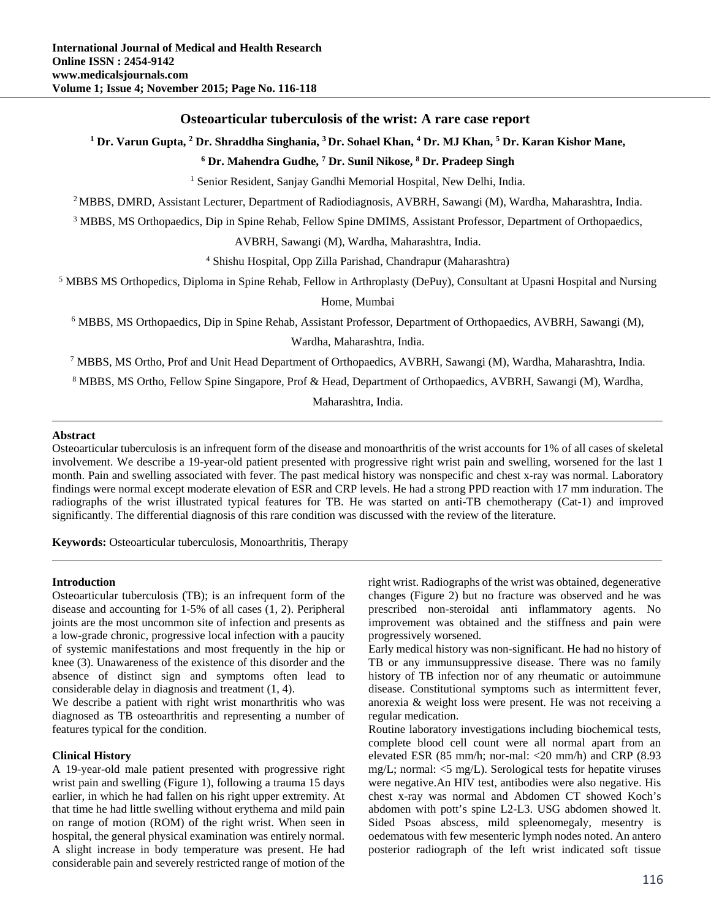# **Osteoarticular tuberculosis of the wrist: A rare case report**

<sup>1</sup> Dr. Varun Gupta, <sup>2</sup> Dr. Shraddha Singhania, <sup>3</sup> Dr. Sohael Khan, <sup>4</sup> Dr. MJ Khan, <sup>5</sup> Dr. Karan Kishor Mane,

**6 Dr. Mahendra Gudhe, 7 Dr. Sunil Nikose, 8 Dr. Pradeep Singh**

<sup>1</sup> Senior Resident, Sanjay Gandhi Memorial Hospital, New Delhi, India.

2 MBBS, DMRD, Assistant Lecturer, Department of Radiodiagnosis, AVBRH, Sawangi (M), Wardha, Maharashtra, India.

<sup>3</sup> MBBS, MS Orthopaedics, Dip in Spine Rehab, Fellow Spine DMIMS, Assistant Professor, Department of Orthopaedics,

AVBRH, Sawangi (M), Wardha, Maharashtra, India.

4 Shishu Hospital, Opp Zilla Parishad, Chandrapur (Maharashtra)

<sup>5</sup> MBBS MS Orthopedics, Diploma in Spine Rehab, Fellow in Arthroplasty (DePuy), Consultant at Upasni Hospital and Nursing

Home, Mumbai

<sup>6</sup> MBBS, MS Orthopaedics, Dip in Spine Rehab, Assistant Professor, Department of Orthopaedics, AVBRH, Sawangi (M),

Wardha, Maharashtra, India.

7 MBBS, MS Ortho, Prof and Unit Head Department of Orthopaedics, AVBRH, Sawangi (M), Wardha, Maharashtra, India.

<sup>8</sup> MBBS, MS Ortho, Fellow Spine Singapore, Prof & Head, Department of Orthopaedics, AVBRH, Sawangi (M), Wardha,

Maharashtra, India.

### **Abstract**

Osteoarticular tuberculosis is an infrequent form of the disease and monoarthritis of the wrist accounts for 1% of all cases of skeletal involvement. We describe a 19-year-old patient presented with progressive right wrist pain and swelling, worsened for the last 1 month. Pain and swelling associated with fever. The past medical history was nonspecific and chest x-ray was normal. Laboratory findings were normal except moderate elevation of ESR and CRP levels. He had a strong PPD reaction with 17 mm induration. The radiographs of the wrist illustrated typical features for TB. He was started on anti-TB chemotherapy (Cat-1) and improved significantly. The differential diagnosis of this rare condition was discussed with the review of the literature.

**Keywords:** Osteoarticular tuberculosis, Monoarthritis, Therapy

### **Introduction**

Osteoarticular tuberculosis (TB); is an infrequent form of the disease and accounting for 1-5% of all cases (1, 2). Peripheral joints are the most uncommon site of infection and presents as a low-grade chronic, progressive local infection with a paucity of systemic manifestations and most frequently in the hip or knee (3). Unawareness of the existence of this disorder and the absence of distinct sign and symptoms often lead to considerable delay in diagnosis and treatment (1, 4).

We describe a patient with right wrist monarthritis who was diagnosed as TB osteoarthritis and representing a number of features typical for the condition.

### **Clinical History**

A 19-year-old male patient presented with progressive right wrist pain and swelling (Figure 1), following a trauma 15 days earlier, in which he had fallen on his right upper extremity. At that time he had little swelling without erythema and mild pain on range of motion (ROM) of the right wrist. When seen in hospital, the general physical examination was entirely normal. A slight increase in body temperature was present. He had considerable pain and severely restricted range of motion of the right wrist. Radiographs of the wrist was obtained, degenerative changes (Figure 2) but no fracture was observed and he was prescribed non-steroidal anti inflammatory agents. No improvement was obtained and the stiffness and pain were progressively worsened.

Early medical history was non-significant. He had no history of TB or any immunsuppressive disease. There was no family history of TB infection nor of any rheumatic or autoimmune disease. Constitutional symptoms such as intermittent fever, anorexia & weight loss were present. He was not receiving a regular medication.

Routine laboratory investigations including biochemical tests, complete blood cell count were all normal apart from an elevated ESR (85 mm/h; nor-mal: <20 mm/h) and CRP (8.93 mg/L; normal:  $\leq$  mg/L). Serological tests for hepatite viruses were negative.An HIV test, antibodies were also negative. His chest x-ray was normal and Abdomen CT showed Koch's abdomen with pott's spine L2-L3. USG abdomen showed lt. Sided Psoas abscess, mild spleenomegaly, mesentry is oedematous with few mesenteric lymph nodes noted. An antero posterior radiograph of the left wrist indicated soft tissue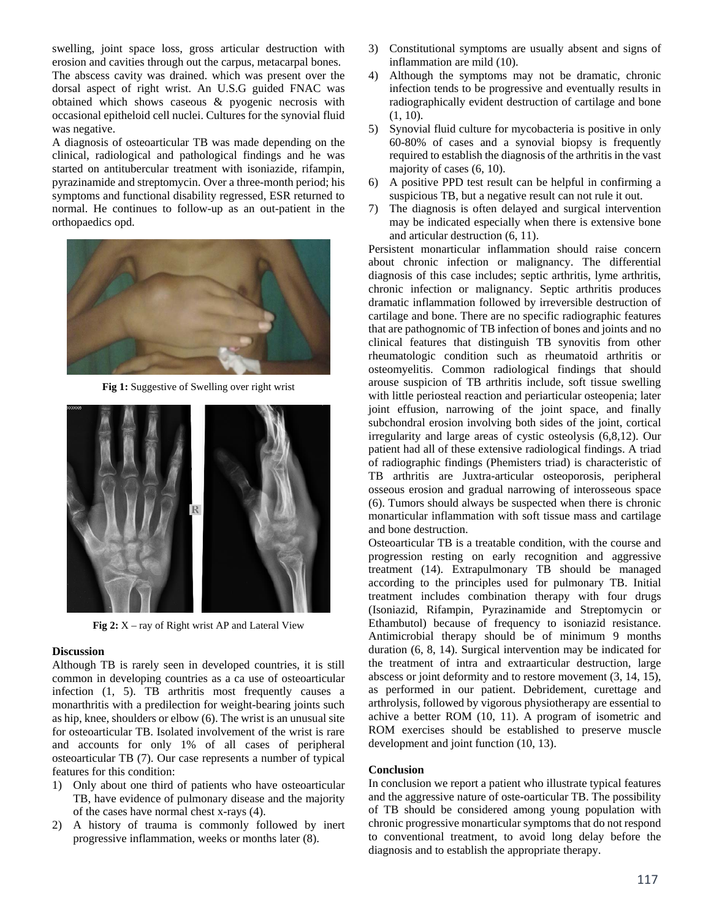swelling, joint space loss, gross articular destruction with erosion and cavities through out the carpus, metacarpal bones. The abscess cavity was drained. which was present over the dorsal aspect of right wrist. An U.S.G guided FNAC was obtained which shows caseous & pyogenic necrosis with occasional epitheloid cell nuclei. Cultures for the synovial fluid was negative.

A diagnosis of osteoarticular TB was made depending on the clinical, radiological and pathological findings and he was started on antitubercular treatment with isoniazide, rifampin, pyrazinamide and streptomycin. Over a three-month period; his symptoms and functional disability regressed, ESR returned to normal. He continues to follow-up as an out-patient in the orthopaedics opd.



**Fig 1:** Suggestive of Swelling over right wrist



**Fig 2:** X – ray of Right wrist AP and Lateral View

#### **Discussion**

Although TB is rarely seen in developed countries, it is still common in developing countries as a ca use of osteoarticular infection (1, 5). TB arthritis most frequently causes a monarthritis with a predilection for weight-bearing joints such as hip, knee, shoulders or elbow (6). The wrist is an unusual site for osteoarticular TB. Isolated involvement of the wrist is rare and accounts for only 1% of all cases of peripheral osteoarticular TB (7). Our case represents a number of typical features for this condition:

- 1) Only about one third of patients who have osteoarticular TB, have evidence of pulmonary disease and the majority of the cases have normal chest x-rays (4).
- 2) A history of trauma is commonly followed by inert progressive inflammation, weeks or months later (8).
- 3) Constitutional symptoms are usually absent and signs of inflammation are mild (10).
- 4) Although the symptoms may not be dramatic, chronic infection tends to be progressive and eventually results in radiographically evident destruction of cartilage and bone (1, 10).
- 5) Synovial fluid culture for mycobacteria is positive in only 60-80% of cases and a synovial biopsy is frequently required to establish the diagnosis of the arthritis in the vast majority of cases (6, 10).
- 6) A positive PPD test result can be helpful in confirming a suspicious TB, but a negative result can not rule it out.
- 7) The diagnosis is often delayed and surgical intervention may be indicated especially when there is extensive bone and articular destruction (6, 11).

Persistent monarticular inflammation should raise concern about chronic infection or malignancy. The differential diagnosis of this case includes; septic arthritis, lyme arthritis, chronic infection or malignancy. Septic arthritis produces dramatic inflammation followed by irreversible destruction of cartilage and bone. There are no specific radiographic features that are pathognomic of TB infection of bones and joints and no clinical features that distinguish TB synovitis from other rheumatologic condition such as rheumatoid arthritis or osteomyelitis. Common radiological findings that should arouse suspicion of TB arthritis include, soft tissue swelling with little periosteal reaction and periarticular osteopenia; later joint effusion, narrowing of the joint space, and finally subchondral erosion involving both sides of the joint, cortical irregularity and large areas of cystic osteolysis (6,8,12). Our patient had all of these extensive radiological findings. A triad of radiographic findings (Phemisters triad) is characteristic of TB arthritis are Juxtra-articular osteoporosis, peripheral osseous erosion and gradual narrowing of interosseous space (6). Tumors should always be suspected when there is chronic monarticular inflammation with soft tissue mass and cartilage and bone destruction.

Osteoarticular TB is a treatable condition, with the course and progression resting on early recognition and aggressive treatment (14). Extrapulmonary TB should be managed according to the principles used for pulmonary TB. Initial treatment includes combination therapy with four drugs (Isoniazid, Rifampin, Pyrazinamide and Streptomycin or Ethambutol) because of frequency to isoniazid resistance. Antimicrobial therapy should be of minimum 9 months duration (6, 8, 14). Surgical intervention may be indicated for the treatment of intra and extraarticular destruction, large abscess or joint deformity and to restore movement (3, 14, 15), as performed in our patient. Debridement, curettage and arthrolysis, followed by vigorous physiotherapy are essential to achive a better ROM (10, 11). A program of isometric and ROM exercises should be established to preserve muscle development and joint function (10, 13).

### **Conclusion**

In conclusion we report a patient who illustrate typical features and the aggressive nature of oste-oarticular TB. The possibility of TB should be considered among young population with chronic progressive monarticular symptoms that do not respond to conventional treatment, to avoid long delay before the diagnosis and to establish the appropriate therapy.